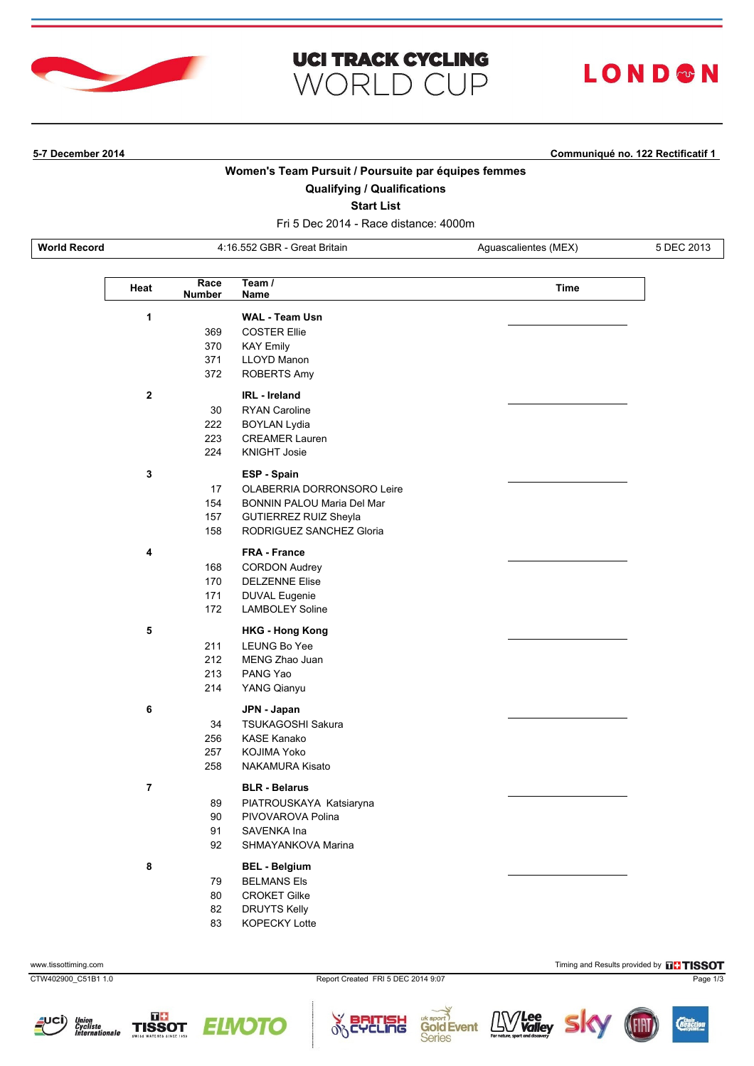

# **UCI TRACK CYCLING WORLD CUP**

# LOND®N

**5-7 December 2014 Communiqué no. 122 Rectificatif 1**

## **Women's Team Pursuit / Poursuite par équipes femmes**

## **Qualifying / Qualifications**

**Start List**

Fri 5 Dec 2014 - Race distance: 4000m

**World Record** 4:16.552 GBR - Great Britain Aguascalientes (MEX) 5 DEC 2013

| Heat                    | Race<br><b>Number</b> | Team $/$<br>Name                  | Time |
|-------------------------|-----------------------|-----------------------------------|------|
| 1                       |                       | <b>WAL - Team Usn</b>             |      |
|                         | 369                   | <b>COSTER Ellie</b>               |      |
|                         | 370                   | <b>KAY Emily</b>                  |      |
|                         | 371                   | <b>LLOYD Manon</b>                |      |
|                         | 372                   | ROBERTS Amy                       |      |
| $\overline{\mathbf{2}}$ |                       | <b>IRL</b> - Ireland              |      |
|                         | 30                    | <b>RYAN Caroline</b>              |      |
|                         | 222                   | <b>BOYLAN Lydia</b>               |      |
|                         | 223                   | <b>CREAMER Lauren</b>             |      |
|                         | 224                   | <b>KNIGHT Josie</b>               |      |
| $\mathbf{3}$            |                       | ESP - Spain                       |      |
|                         | 17                    | OLABERRIA DORRONSORO Leire        |      |
|                         | 154                   | <b>BONNIN PALOU Maria Del Mar</b> |      |
|                         | 157                   | GUTIERREZ RUIZ Sheyla             |      |
|                         | 158                   | RODRIGUEZ SANCHEZ Gloria          |      |
| 4                       |                       | <b>FRA - France</b>               |      |
|                         | 168                   | <b>CORDON Audrey</b>              |      |
|                         | 170                   | <b>DELZENNE Elise</b>             |      |
|                         | 171                   | <b>DUVAL Eugenie</b>              |      |
|                         | 172                   | <b>LAMBOLEY Soline</b>            |      |
| 5                       |                       | <b>HKG - Hong Kong</b>            |      |
|                         | 211                   | LEUNG Bo Yee                      |      |
|                         | 212                   | MENG Zhao Juan                    |      |
|                         | 213                   | PANG Yao                          |      |
|                         | 214                   | YANG Qianyu                       |      |
| 6                       |                       | JPN - Japan                       |      |
|                         | 34                    | TSUKAGOSHI Sakura                 |      |
|                         | 256                   | KASE Kanako                       |      |
|                         | 257                   | KOJIMA Yoko                       |      |
|                         | 258                   | <b>NAKAMURA Kisato</b>            |      |
| $\overline{7}$          |                       | <b>BLR - Belarus</b>              |      |
|                         | 89                    | PIATROUSKAYA Katsiaryna           |      |
|                         | 90                    | PIVOVAROVA Polina                 |      |
|                         | 91                    | SAVENKA Ina                       |      |
|                         | 92                    | SHMAYANKOVA Marina                |      |
| 8                       |                       | <b>BEL - Belgium</b>              |      |
|                         | 79                    | <b>BELMANS Els</b>                |      |
|                         | 80                    | <b>CROKET Gilke</b>               |      |
|                         | 82                    | <b>DRUYTS Kelly</b>               |      |
|                         | 83                    | KOPECKY Lotte                     |      |











*/Lee<br>Valley* 

LLV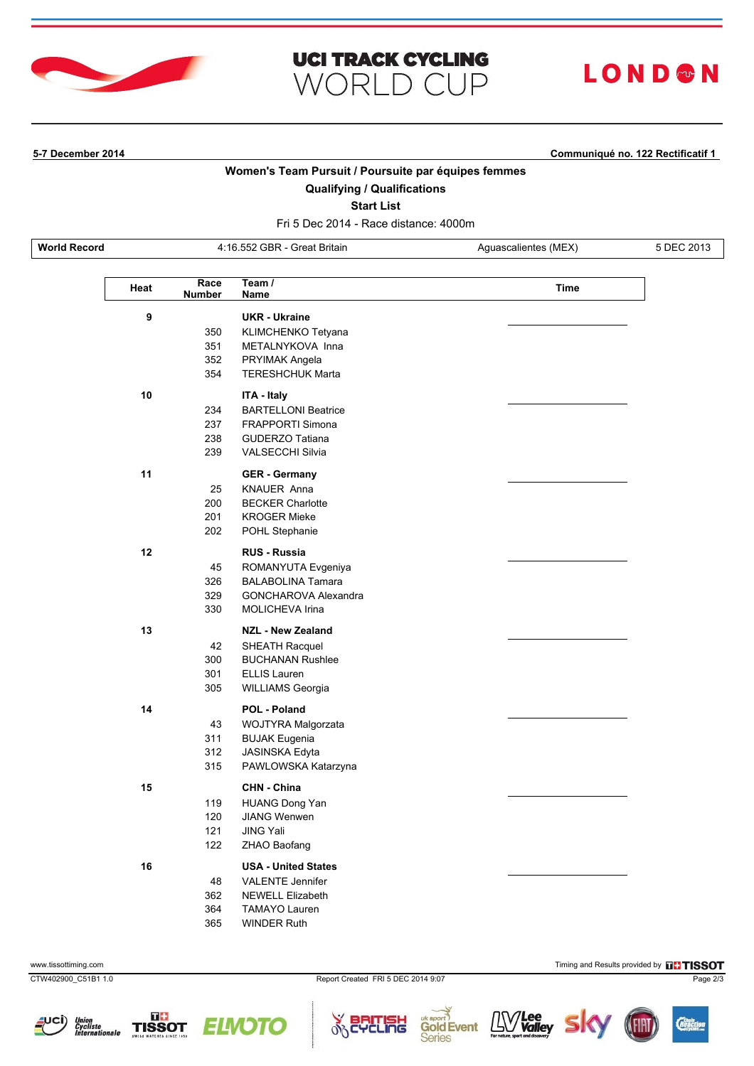

# **UCI TRACK CYCLING WORLD CUP**

# LOND®N

**5-7 December 2014 Communiqué no. 122 Rectificatif 1**

## **Women's Team Pursuit / Poursuite par équipes femmes**

## **Qualifying / Qualifications**

**Start List**

Fri 5 Dec 2014 - Race distance: 4000m

**World Record** 4:16.552 GBR - Great Britain Aguascalientes (MEX) 5 DEC 2013

| Heat | Race<br><b>Number</b> | Team $/$<br>Name           | Time |
|------|-----------------------|----------------------------|------|
| 9    |                       | <b>UKR - Ukraine</b>       |      |
|      | 350                   | KLIMCHENKO Tetyana         |      |
|      | 351                   | METALNYKOVA Inna           |      |
|      | 352                   | PRYIMAK Angela             |      |
|      | 354                   | <b>TERESHCHUK Marta</b>    |      |
| 10   |                       | ITA - Italy                |      |
|      | 234                   | <b>BARTELLONI Beatrice</b> |      |
|      | 237                   | <b>FRAPPORTI Simona</b>    |      |
|      | 238                   | <b>GUDERZO Tatiana</b>     |      |
|      | 239                   | <b>VALSECCHI Silvia</b>    |      |
| 11   |                       | <b>GER - Germany</b>       |      |
|      | 25                    | <b>KNAUER Anna</b>         |      |
|      | 200                   | <b>BECKER Charlotte</b>    |      |
|      | 201                   | <b>KROGER Mieke</b>        |      |
|      | 202                   | POHL Stephanie             |      |
| 12   |                       | <b>RUS - Russia</b>        |      |
|      | 45                    | ROMANYUTA Evgeniya         |      |
|      | 326                   | <b>BALABOLINA Tamara</b>   |      |
|      | 329                   | GONCHAROVA Alexandra       |      |
|      | 330                   | MOLICHEVA Irina            |      |
| 13   |                       | <b>NZL - New Zealand</b>   |      |
|      | 42                    | <b>SHEATH Racquel</b>      |      |
|      | 300                   | <b>BUCHANAN Rushlee</b>    |      |
|      | 301                   | <b>ELLIS Lauren</b>        |      |
|      | 305                   | <b>WILLIAMS Georgia</b>    |      |
| 14   |                       | <b>POL - Poland</b>        |      |
|      | 43                    | WOJTYRA Malgorzata         |      |
|      | 311                   | <b>BUJAK Eugenia</b>       |      |
|      | 312                   | JASINSKA Edyta             |      |
|      | 315                   | PAWLOWSKA Katarzyna        |      |
| 15   |                       | <b>CHN - China</b>         |      |
|      | 119                   | <b>HUANG Dong Yan</b>      |      |
|      | 120                   | <b>JIANG Wenwen</b>        |      |
|      | 121                   | <b>JING Yali</b>           |      |
|      | 122                   | ZHAO Baofang               |      |
| 16   |                       | <b>USA - United States</b> |      |
|      | 48                    | <b>VALENTE Jennifer</b>    |      |
|      | 362                   | <b>NEWELL Elizabeth</b>    |      |
|      | 364                   | <b>TAMAYO Lauren</b>       |      |
|      | 365                   | WINDER Ruth                |      |

cung









 $\delta$ 

www.tissottiming.com **Timing and Results provided by FISSOT** and Results provided by FISSOT

*/Lee<br>Valley* 

LLV

**Gold Event** 

**Series**